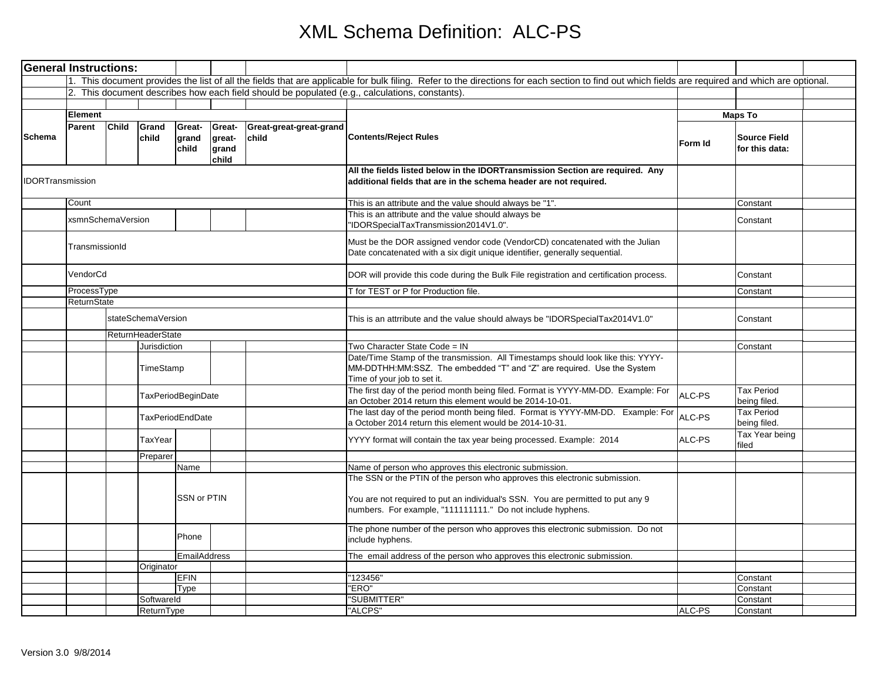## XML Schema Definition: ALC-PS

| 1. This document provides the list of all the fields that are applicable for bulk filing. Refer to the directions for each section to find out which fields are required and which are optional.<br>2. This document describes how each field should be populated (e.g., calculations, constants).<br>Element<br><b>Child</b><br>Great-<br>Great-<br>Parent<br>Grand<br>Great-great-great-grand<br><b>Schema</b><br><b>Contents/Reject Rules</b><br>grand<br>great-<br>child<br>child<br>Form Id | <b>Maps To</b><br><b>Source Field</b><br>for this data:<br>Constant |  |
|--------------------------------------------------------------------------------------------------------------------------------------------------------------------------------------------------------------------------------------------------------------------------------------------------------------------------------------------------------------------------------------------------------------------------------------------------------------------------------------------------|---------------------------------------------------------------------|--|
|                                                                                                                                                                                                                                                                                                                                                                                                                                                                                                  |                                                                     |  |
|                                                                                                                                                                                                                                                                                                                                                                                                                                                                                                  |                                                                     |  |
|                                                                                                                                                                                                                                                                                                                                                                                                                                                                                                  |                                                                     |  |
|                                                                                                                                                                                                                                                                                                                                                                                                                                                                                                  |                                                                     |  |
| child<br>grand<br>child                                                                                                                                                                                                                                                                                                                                                                                                                                                                          |                                                                     |  |
| All the fields listed below in the IDORTransmission Section are required. Any<br><b>IDORTransmission</b><br>additional fields that are in the schema header are not required.                                                                                                                                                                                                                                                                                                                    |                                                                     |  |
| Count<br>This is an attribute and the value should always be "1".                                                                                                                                                                                                                                                                                                                                                                                                                                |                                                                     |  |
| This is an attribute and the value should always be<br>xsmnSchemaVersion<br>'IDORSpecialTaxTransmission2014V1.0".                                                                                                                                                                                                                                                                                                                                                                                | Constant                                                            |  |
| Must be the DOR assigned vendor code (VendorCD) concatenated with the Julian<br>TransmissionId<br>Date concatenated with a six digit unique identifier, generally sequential.                                                                                                                                                                                                                                                                                                                    |                                                                     |  |
| VendorCd<br>DOR will provide this code during the Bulk File registration and certification process.                                                                                                                                                                                                                                                                                                                                                                                              | Constant                                                            |  |
| ProcessType<br>T for TEST or P for Production file.                                                                                                                                                                                                                                                                                                                                                                                                                                              | Constant                                                            |  |
| ReturnState                                                                                                                                                                                                                                                                                                                                                                                                                                                                                      |                                                                     |  |
| stateSchemaVersion<br>This is an attrribute and the value should always be "IDORSpecialTax2014V1.0"                                                                                                                                                                                                                                                                                                                                                                                              | Constant                                                            |  |
| ReturnHeaderState                                                                                                                                                                                                                                                                                                                                                                                                                                                                                |                                                                     |  |
| Two Character State Code = IN<br>Jurisdiction<br>Date/Time Stamp of the transmission. All Timestamps should look like this: YYYY-<br>TimeStamp<br>MM-DDTHH:MM:SSZ. The embedded "T" and "Z" are required. Use the System<br>Time of your job to set it.                                                                                                                                                                                                                                          | Constant                                                            |  |
| The first day of the period month being filed. Format is YYYY-MM-DD. Example: For<br>ALC-PS<br>TaxPeriodBeginDate<br>an October 2014 return this element would be 2014-10-01.                                                                                                                                                                                                                                                                                                                    | Tax Period<br>being filed.                                          |  |
| The last day of the period month being filed. Format is YYYY-MM-DD. Example: For<br>ALC-PS<br><b>TaxPeriodEndDate</b><br>a October 2014 return this element would be 2014-10-31.                                                                                                                                                                                                                                                                                                                 | Tax Period<br>being filed.                                          |  |
| ALC-PS<br>YYYY format will contain the tax year being processed. Example: 2014<br>TaxYear                                                                                                                                                                                                                                                                                                                                                                                                        | Tax Year being<br>filed                                             |  |
| Preparer                                                                                                                                                                                                                                                                                                                                                                                                                                                                                         |                                                                     |  |
| Name<br>Name of person who approves this electronic submission.<br>The SSN or the PTIN of the person who approves this electronic submission.<br>SSN or PTIN<br>You are not required to put an individual's SSN. You are permitted to put any 9                                                                                                                                                                                                                                                  |                                                                     |  |
| numbers. For example, "111111111." Do not include hyphens.<br>The phone number of the person who approves this electronic submission. Do not<br>Phone<br>include hyphens.                                                                                                                                                                                                                                                                                                                        |                                                                     |  |
|                                                                                                                                                                                                                                                                                                                                                                                                                                                                                                  |                                                                     |  |
| EmailAddress<br>The email address of the person who approves this electronic submission.<br>Originator                                                                                                                                                                                                                                                                                                                                                                                           |                                                                     |  |
| EFIN<br>'123456'                                                                                                                                                                                                                                                                                                                                                                                                                                                                                 | Constant                                                            |  |
| "ERO"<br>Type                                                                                                                                                                                                                                                                                                                                                                                                                                                                                    | Constant                                                            |  |
| "SUBMITTER"<br>Softwareld                                                                                                                                                                                                                                                                                                                                                                                                                                                                        | Constant                                                            |  |
| "ALCPS"<br>ALC-PS<br>ReturnType                                                                                                                                                                                                                                                                                                                                                                                                                                                                  | Constant                                                            |  |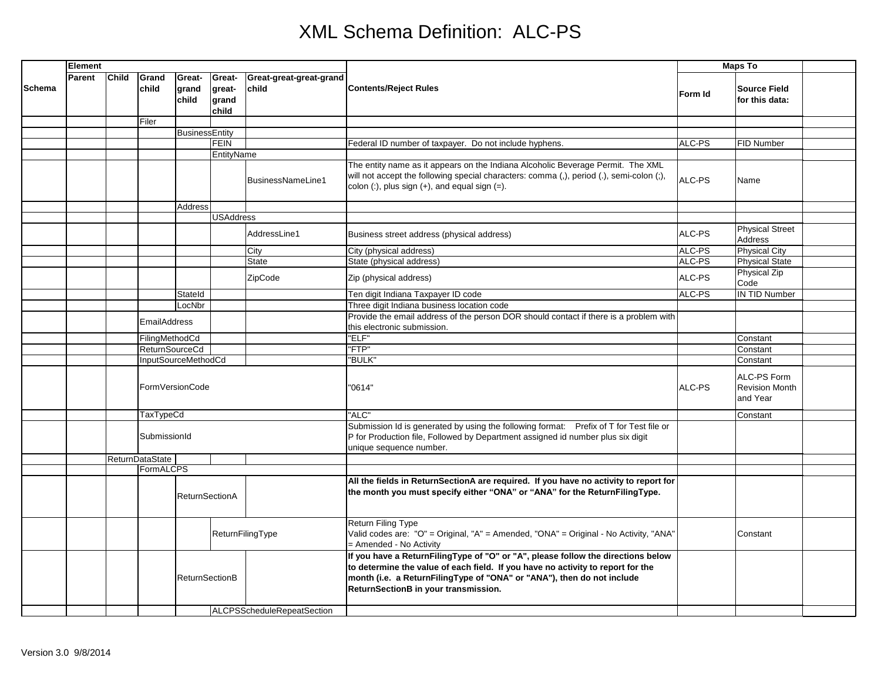## XML Schema Definition: ALC-PS

|               | Element |                           |                       |                          |                                    |                                   |                                                                                                                                                                                                                                                                                       | <b>Maps To</b> |                                                  |  |
|---------------|---------|---------------------------|-----------------------|--------------------------|------------------------------------|-----------------------------------|---------------------------------------------------------------------------------------------------------------------------------------------------------------------------------------------------------------------------------------------------------------------------------------|----------------|--------------------------------------------------|--|
| <b>Schema</b> | Parent  | <b>Child</b>              | Grand<br>child        | Great-<br>grand<br>child | Great-<br>great-<br>grand<br>child | Great-great-great-grand<br>child  | <b>Contents/Reject Rules</b>                                                                                                                                                                                                                                                          | Form Id        | <b>Source Field</b><br>for this data:            |  |
|               |         |                           | Filer                 |                          |                                    |                                   |                                                                                                                                                                                                                                                                                       |                |                                                  |  |
|               |         |                           |                       | <b>BusinessEntity</b>    |                                    |                                   |                                                                                                                                                                                                                                                                                       |                |                                                  |  |
|               |         |                           |                       |                          | <b>FEIN</b>                        |                                   | Federal ID number of taxpayer. Do not include hyphens.                                                                                                                                                                                                                                | ALC-PS         | FID Number                                       |  |
|               |         | EntityName                |                       |                          |                                    |                                   |                                                                                                                                                                                                                                                                                       |                |                                                  |  |
|               |         |                           |                       |                          |                                    | BusinessNameLine1                 | The entity name as it appears on the Indiana Alcoholic Beverage Permit. The XML<br>will not accept the following special characters: comma (,), period (.), semi-colon (;),<br>colon $(:)$ , plus sign $(+)$ , and equal sign $(=)$ .                                                 | ALC-PS         | Name                                             |  |
|               |         |                           |                       | Address                  |                                    |                                   |                                                                                                                                                                                                                                                                                       |                |                                                  |  |
|               |         |                           |                       |                          | <b>USAddress</b>                   |                                   |                                                                                                                                                                                                                                                                                       |                |                                                  |  |
|               |         |                           |                       |                          |                                    | AddressLine1                      | Business street address (physical address)                                                                                                                                                                                                                                            | ALC-PS         | <b>Physical Street</b><br>Address                |  |
|               |         |                           |                       |                          |                                    | City                              | City (physical address)                                                                                                                                                                                                                                                               | ALC-PS         | <b>Physical City</b>                             |  |
|               |         |                           |                       |                          |                                    | <b>State</b>                      | State (physical address)                                                                                                                                                                                                                                                              | ALC-PS         | <b>Physical State</b>                            |  |
|               |         |                           |                       |                          |                                    | ZipCode                           | Zip (physical address)                                                                                                                                                                                                                                                                | ALC-PS         | Physical Zip<br>Code                             |  |
|               |         |                           |                       | Stateld                  |                                    |                                   | Ten digit Indiana Taxpayer ID code                                                                                                                                                                                                                                                    | ALC-PS         | <b>IN TID Number</b>                             |  |
|               |         |                           |                       | LocNbr                   |                                    |                                   | Three digit Indiana business location code                                                                                                                                                                                                                                            |                |                                                  |  |
|               |         |                           | <b>EmailAddress</b>   |                          |                                    |                                   | Provide the email address of the person DOR should contact if there is a problem with<br>this electronic submission.                                                                                                                                                                  |                |                                                  |  |
|               |         |                           | FilingMethodCd        |                          |                                    |                                   | "ELF"                                                                                                                                                                                                                                                                                 |                | Constant                                         |  |
|               |         |                           | <b>ReturnSourceCd</b> |                          |                                    |                                   | "FTP"                                                                                                                                                                                                                                                                                 |                | Constant                                         |  |
|               |         | InputSourceMethodCd       |                       |                          |                                    |                                   | "BULK"                                                                                                                                                                                                                                                                                |                | Constant                                         |  |
|               |         | FormVersionCode           |                       |                          |                                    |                                   | '0614"                                                                                                                                                                                                                                                                                | ALC-PS         | ALC-PS Form<br><b>Revision Month</b><br>and Year |  |
|               |         | TaxTypeCd<br>SubmissionId |                       |                          |                                    |                                   | "ALC"                                                                                                                                                                                                                                                                                 |                | Constant                                         |  |
|               |         |                           |                       |                          |                                    |                                   | Submission Id is generated by using the following format: Prefix of T for Test file or<br>P for Production file, Followed by Department assigned id number plus six digit<br>unique sequence number.                                                                                  |                |                                                  |  |
|               |         | <b>ReturnDataState</b>    |                       |                          |                                    |                                   |                                                                                                                                                                                                                                                                                       |                |                                                  |  |
|               |         |                           | <b>FormALCPS</b>      |                          |                                    |                                   |                                                                                                                                                                                                                                                                                       |                |                                                  |  |
|               |         |                           |                       | <b>ReturnSectionA</b>    |                                    |                                   | All the fields in ReturnSectionA are required. If you have no activity to report for<br>the month you must specify either "ONA" or "ANA" for the ReturnFilingType.                                                                                                                    |                |                                                  |  |
|               |         |                           |                       |                          |                                    | ReturnFilingType                  | Return Filing Type<br>Valid codes are: "O" = Original, "A" = Amended, "ONA" = Original - No Activity, "ANA"<br>= Amended - No Activity                                                                                                                                                |                | Constant                                         |  |
|               |         |                           |                       | <b>ReturnSectionB</b>    |                                    |                                   | If you have a ReturnFilingType of "O" or "A", please follow the directions below<br>to determine the value of each field. If you have no activity to report for the<br>month (i.e. a ReturnFilingType of "ONA" or "ANA"), then do not include<br>ReturnSectionB in your transmission. |                |                                                  |  |
|               |         |                           |                       |                          |                                    | <b>ALCPSScheduleRepeatSection</b> |                                                                                                                                                                                                                                                                                       |                |                                                  |  |